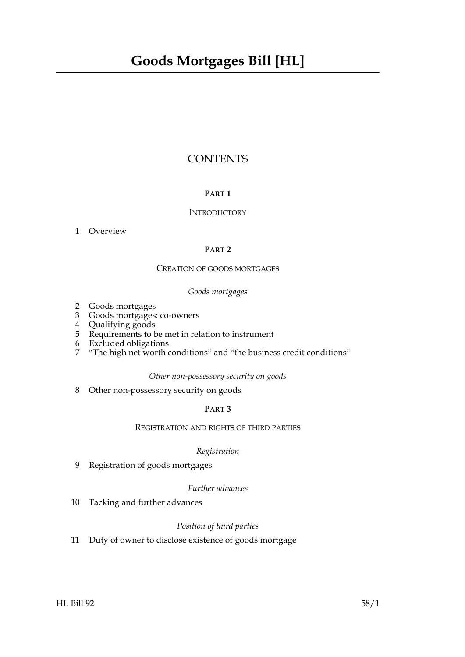## **CONTENTS**

#### **PART 1**

#### **INTRODUCTORY**

#### [1 Overview](#page-4-0)

#### **PART 2**

#### CREATION OF GOODS MORTGAGES

#### *Goods mortgages*

- [2 Goods mortgages](#page-5-0)
- [3 Goods mortgages: co-owners](#page-5-1)
- [4 Qualifying goods](#page-5-2)
- [5 Requirements to be met in relation to instrument](#page-6-0)
- [6 Excluded obligations](#page-6-1)
- [7 "The high net worth conditions" and "the business credit conditions"](#page-7-0)

#### *Other non-possessory security on goods*

[8 Other non-possessory security on goods](#page-7-1)

#### **PART 3**

#### REGISTRATION AND RIGHTS OF THIRD PARTIES

#### *Registration*

[9 Registration of goods mortgages](#page-8-0)

#### *Further advances*

[10 Tacking and further advances](#page-9-0)

#### *Position of third parties*

11 [Duty of owner to disclose existence of goods mortgage](#page-10-0)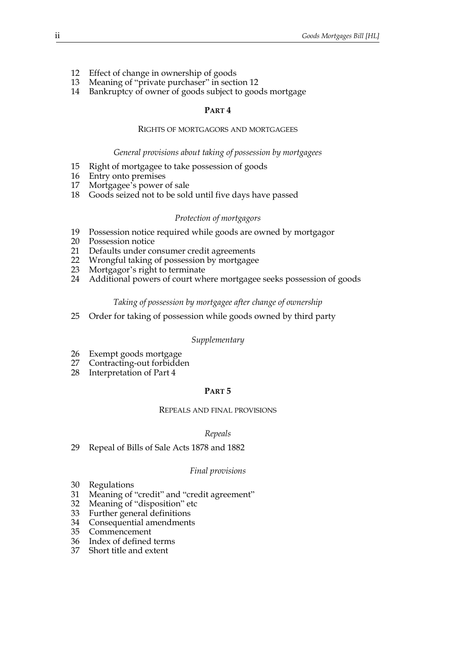- [12 Effect of change in ownership of goods](#page-10-1)
- 13 [Meaning of "private purchaser" in section](#page-11-0) [12](#page-10-1)
- [14 Bankruptcy of owner of goods subject to goods mortgage](#page-11-1)

#### **PART 4**

#### RIGHTS OF MORTGAGORS AND MORTGAGEES

#### *General provisions about taking of possession by mortgagees*

- [15 Right of mortgagee to take possession of goods](#page-12-0)
- [16 Entry onto premises](#page-12-1)
- [17 Mortgagee's power of sale](#page-13-0)
- [18 Goods seized not to be sold until five days have passed](#page-13-1)

#### *Protection of mortgagors*

- [19 Possession notice required while goods are owned by mortgagor](#page-14-0)
- [20 Possession notice](#page-15-0)<br>21 Defaults under co
- Defaults under consumer credit agreements
- [22 Wrongful taking of possession by mortgagee](#page-16-0)
- [23 Mortgagor's right to terminate](#page-16-1)
- [24 Additional powers of court where mortgagee seeks possession of goods](#page-17-0)

#### *Taking of possession by mortgagee after change of ownership*

[25 Order for taking of possession while goods owned by third party](#page-18-0)

#### *Supplementary*

- [26 Exempt goods mortgage](#page-18-1)
- [27 Contracting-out forbidden](#page-18-2)
- [28 Interpretation of Part 4](#page-19-0)

#### **PART 5**

#### REPEALS AND FINAL PROVISIONS

#### *Repeals*

[29 Repeal of Bills of Sale Acts 1878 and 1882](#page-19-1)

#### *Final provisions*

- [30 Regulations](#page-19-2)
- [31 Meaning of "credit" and "credit agreement"](#page-20-0)
- [32 Meaning of "disposition" etc](#page-20-1)
- [33 Further general definitions](#page-20-2)
- [34 Consequential amendments](#page-21-0)
- [35 Commencement](#page-21-1)
- [36 Index of defined terms](#page-21-2)
- 37 [Short title and extent](#page-22-0)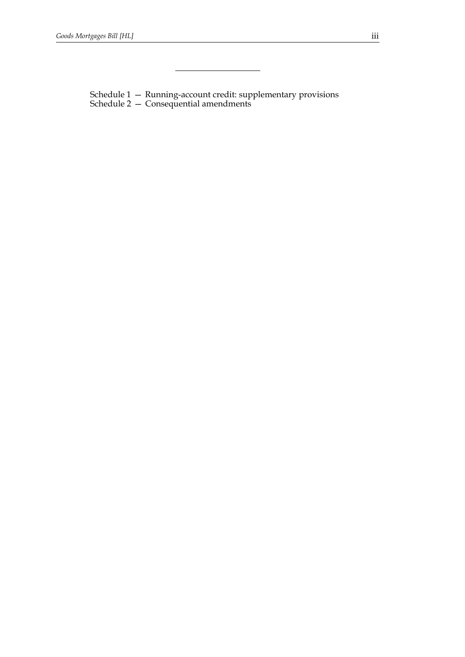[Schedule 1 — Running-account credit: supplementary provisions](#page-23-0) Schedule 2 [— Consequential amendments](#page-24-0)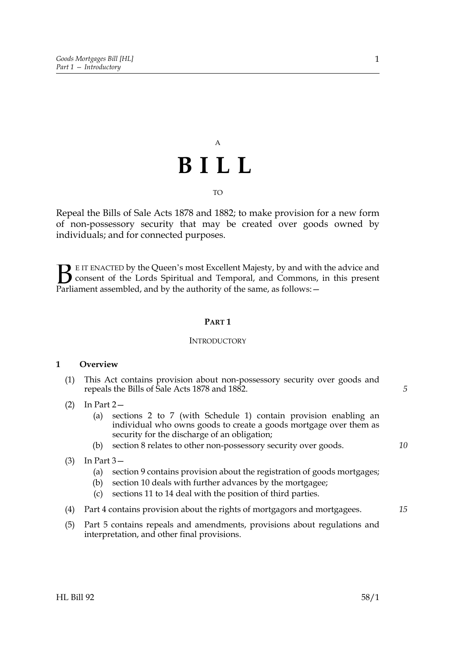# A **BILL**

#### TO

Repeal the Bills of Sale Acts 1878 and 1882; to make provision for a new form of non-possessory security that may be created over goods owned by individuals; and for connected purposes.

E IT ENACTED by the Queen's most Excellent Majesty, by and with the advice and consent of the Lords Spiritual and Temporal, and Commons, in this present **B** E IT ENACTED by the Queen's most Excellent Majesty, by and with consent of the Lords Spiritual and Temporal, and Commons, Parliament assembled, and by the authority of the same, as follows:  $-$ 

#### **PART 1**

#### **INTRODUCTORY**

#### <span id="page-4-0"></span>**1 Overview**

- (1) This Act contains provision about non-possessory security over goods and repeals the Bills of Sale Acts 1878 and 1882.
- (2) In Part 2—
	- (a) sections [2](#page-5-3) to [7](#page-7-2) (with Schedule [1\)](#page-23-0) contain provision enabling an individual who owns goods to create a goods mortgage over them as security for the discharge of an obligation;
	- (b) section [8](#page-7-3) relates to other non-possessory security over goods.
- (3) In Part 3—
	- (a) section [9](#page-8-1) contains provision about the registration of goods mortgages;
	- (b) section [10](#page-9-1) deals with further advances by the mortgagee;
	- (c) sections [11](#page-10-2) to [14](#page-11-2) deal with the position of third parties.
- (4) Part 4 contains provision about the rights of mortgagors and mortgagees.
- (5) Part 5 contains repeals and amendments, provisions about regulations and interpretation, and other final provisions.

*10*

*15*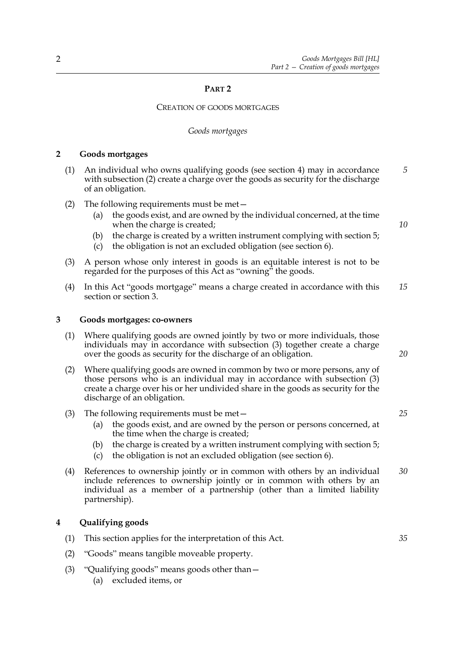#### **PART 2**

#### CREATION OF GOODS MORTGAGES

#### *Goods mortgages*

#### <span id="page-5-3"></span><span id="page-5-0"></span>**2 Goods mortgages**

- (1) An individual who owns qualifying goods (see section [4\)](#page-5-4) may in accordance with subsection [\(2\)](#page-5-6) create a charge over the goods as security for the discharge of an obligation. *5*
- <span id="page-5-6"></span>(2) The following requirements must be met
	- the goods exist, and are owned by the individual concerned, at the time when the charge is created;
	- (b) the charge is created by a written instrument complying with section [5](#page-6-2);
	- (c) the obligation is not an excluded obligation (see section [6\)](#page-6-3).
- <span id="page-5-11"></span>(3) A person whose only interest in goods is an equitable interest is not to be regarded for the purposes of this Act as "owning" the goods.
- <span id="page-5-9"></span>(4) In this Act "goods mortgage" means a charge created in accordance with this section or section [3](#page-5-5). *15*

#### <span id="page-5-5"></span><span id="page-5-1"></span>**3 Goods mortgages: co-owners**

- (1) Where qualifying goods are owned jointly by two or more individuals, those individuals may in accordance with subsection [\(3\)](#page-5-7) together create a charge over the goods as security for the discharge of an obligation.
- (2) Where qualifying goods are owned in common by two or more persons, any of those persons who is an individual may in accordance with subsection [\(3\)](#page-5-7) create a charge over his or her undivided share in the goods as security for the discharge of an obligation.
- <span id="page-5-7"></span>(3) The following requirements must be met—
	- (a) the goods exist, and are owned by the person or persons concerned, at the time when the charge is created;
	- (b) the charge is created by a written instrument complying with section [5](#page-6-2);
	- (c) the obligation is not an excluded obligation (see section [6\)](#page-6-3).
- (4) References to ownership jointly or in common with others by an individual include references to ownership jointly or in common with others by an individual as a member of a partnership (other than a limited liability partnership). *30*

#### <span id="page-5-4"></span><span id="page-5-2"></span>**4 Qualifying goods**

- (1) This section applies for the interpretation of this Act.
- <span id="page-5-10"></span>(2) "Goods" means tangible moveable property.
- <span id="page-5-8"></span>(3) "Qualifying goods" means goods other than—
	- (a) excluded items, or

*20*

*10*

*25*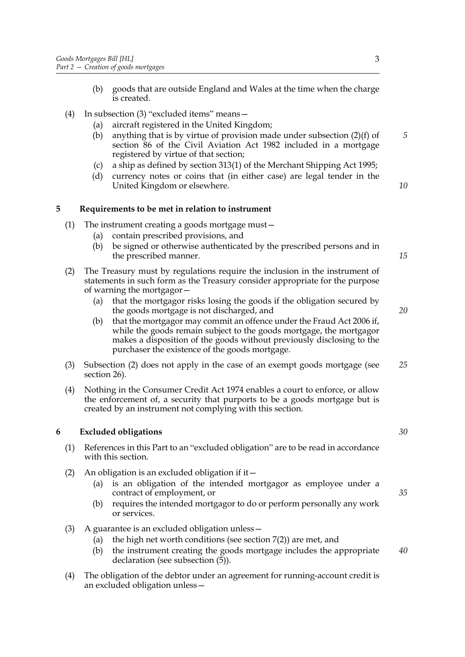- (b) goods that are outside England and Wales at the time when the charge is created.
- (4) In subsection [\(3\)](#page-5-8) "excluded items" means—
	- (a) aircraft registered in the United Kingdom;
	- (b) anything that is by virtue of provision made under subsection (2)(f) of section 86 of the Civil Aviation Act 1982 included in a mortgage registered by virtue of that section;
	- (c) a ship as defined by section 313(1) of the Merchant Shipping Act 1995;
	- (d) currency notes or coins that (in either case) are legal tender in the United Kingdom or elsewhere.

#### <span id="page-6-2"></span><span id="page-6-0"></span>**5 Requirements to be met in relation to instrument**

- (1) The instrument creating a goods mortgage must—
	- (a) contain prescribed provisions, and
	- (b) be signed or otherwise authenticated by the prescribed persons and in the prescribed manner.
- <span id="page-6-4"></span>(2) The Treasury must by regulations require the inclusion in the instrument of statements in such form as the Treasury consider appropriate for the purpose of warning the mortgagor—
	- (a) that the mortgagor risks losing the goods if the obligation secured by the goods mortgage is not discharged, and
	- (b) that the mortgagor may commit an offence under the Fraud Act 2006 if, while the goods remain subject to the goods mortgage, the mortgagor makes a disposition of the goods without previously disclosing to the purchaser the existence of the goods mortgage.
- (3) Subsection [\(2\)](#page-6-4) does not apply in the case of an exempt goods mortgage (see section [26\)](#page-18-3). *25*
- (4) Nothing in the Consumer Credit Act 1974 enables a court to enforce, or allow the enforcement of, a security that purports to be a goods mortgage but is created by an instrument not complying with this section.

#### <span id="page-6-3"></span><span id="page-6-1"></span>**6 Excluded obligations**

- (1) References in this Part to an "excluded obligation" are to be read in accordance with this section.
- (2) An obligation is an excluded obligation if it—
	- (a) is an obligation of the intended mortgagor as employee under a contract of employment, or
	- (b) requires the intended mortgagor to do or perform personally any work or services.
- <span id="page-6-5"></span>(3) A guarantee is an excluded obligation unless—
	- (a) the high net worth conditions (see section [7](#page-7-2)[\(2\)](#page-7-4)) are met, and
	- (b) the instrument creating the goods mortgage includes the appropriate declaration (see subsection  $(5)$ ). *40*
- <span id="page-6-7"></span><span id="page-6-6"></span>(4) The obligation of the debtor under an agreement for running-account credit is an excluded obligation unless—

*5*

*10*

*15*

*20*

*30*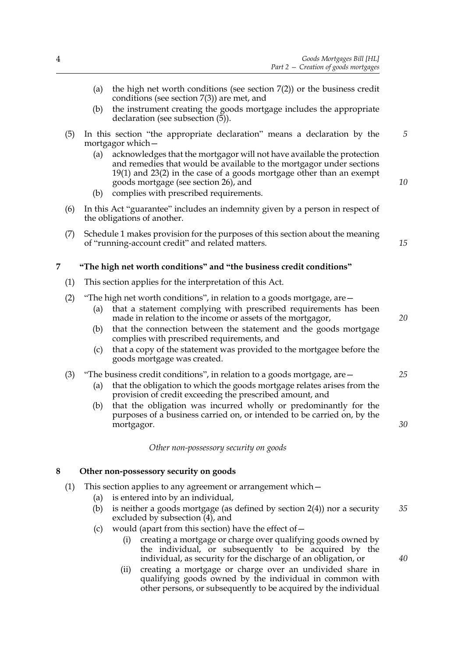- <span id="page-7-10"></span><span id="page-7-5"></span>*Part 2 — Creation of goods mortgages* (a) the high net worth conditions (see section [7](#page-7-2)[\(2\)\)](#page-7-4) or the business credit conditions (see section [7](#page-7-2)[\(3\)](#page-7-6)) are met, and (b) the instrument creating the goods mortgage includes the appropriate declaration (see subsection [\(5\)\)](#page-7-5). (5) In this section "the appropriate declaration" means a declaration by the mortgagor which—
	- (a) acknowledges that the mortgagor will not have available the protection and remedies that would be available to the mortgagor under sections [19](#page-14-1)[\(1\)](#page-14-2) and [23](#page-16-2)[\(2\)](#page-16-3) in the case of a goods mortgage other than an exempt goods mortgage (see section [26\)](#page-18-3), and
	- (b) complies with prescribed requirements.
- <span id="page-7-8"></span>(6) In this Act "guarantee" includes an indemnity given by a person in respect of the obligations of another.
- (7) Schedule [1](#page-23-0) makes provision for the purposes of this section about the meaning of "running-account credit" and related matters.

#### <span id="page-7-2"></span><span id="page-7-0"></span>**7 "The high net worth conditions" and "the business credit conditions"**

- (1) This section applies for the interpretation of this Act.
- <span id="page-7-4"></span>(2) "The high net worth conditions", in relation to a goods mortgage, are—
	- (a) that a statement complying with prescribed requirements has been made in relation to the income or assets of the mortgagor,
	- (b) that the connection between the statement and the goods mortgage complies with prescribed requirements, and
	- (c) that a copy of the statement was provided to the mortgagee before the goods mortgage was created.

#### <span id="page-7-6"></span>(3) "The business credit conditions", in relation to a goods mortgage, are—

- <span id="page-7-9"></span>(a) that the obligation to which the goods mortgage relates arises from the provision of credit exceeding the prescribed amount, and
- (b) that the obligation was incurred wholly or predominantly for the purposes of a business carried on, or intended to be carried on, by the mortgagor.

*Other non-possessory security on goods*

#### <span id="page-7-3"></span><span id="page-7-1"></span>**8 Other non-possessory security on goods**

- <span id="page-7-7"></span>(1) This section applies to any agreement or arrangement which—
	- (a) is entered into by an individual,
	- (b) is neither a goods mortgage (as defined by section [2](#page-5-3)[\(4\)\)](#page-5-9) nor a security excluded by subsection [\(4\),](#page-8-2) and *35*
	- (c) would (apart from this section) have the effect of  $-$ 
		- (i) creating a mortgage or charge over qualifying goods owned by the individual, or subsequently to be acquired by the individual, as security for the discharge of an obligation, or
		- (ii) creating a mortgage or charge over an undivided share in qualifying goods owned by the individual in common with other persons, or subsequently to be acquired by the individual

*25*

*20*

*5*

*10*

*15*

*40*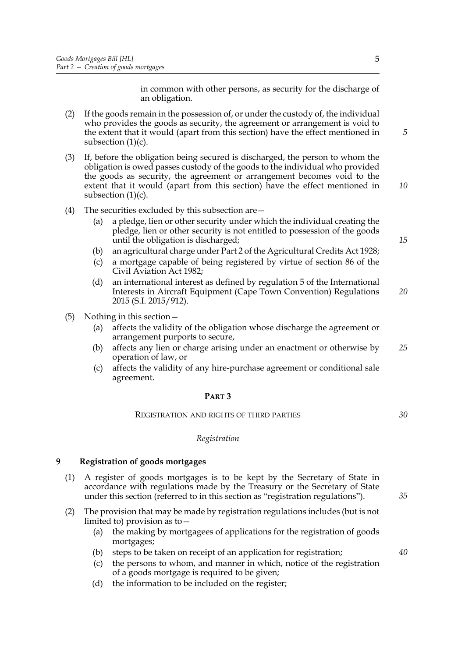in common with other persons, as security for the discharge of an obligation.

- (2) If the goods remain in the possession of, or under the custody of, the individual who provides the goods as security, the agreement or arrangement is void to the extent that it would (apart from this section) have the effect mentioned in subsection [\(1\)\(c\)](#page-7-7).
- (3) If, before the obligation being secured is discharged, the person to whom the obligation is owed passes custody of the goods to the individual who provided the goods as security, the agreement or arrangement becomes void to the extent that it would (apart from this section) have the effect mentioned in subsection  $(1)(c)$ .
- <span id="page-8-2"></span>(4) The securities excluded by this subsection are—
	- (a) a pledge, lien or other security under which the individual creating the pledge, lien or other security is not entitled to possession of the goods until the obligation is discharged;
	- (b) an agricultural charge under Part 2 of the Agricultural Credits Act 1928;
	- (c) a mortgage capable of being registered by virtue of section 86 of the Civil Aviation Act 1982;
	- (d) an international interest as defined by regulation 5 of the International Interests in Aircraft Equipment (Cape Town Convention) Regulations 2015 (S.I. 2015/912). *20*
- (5) Nothing in this section—
	- (a) affects the validity of the obligation whose discharge the agreement or arrangement purports to secure,
	- (b) affects any lien or charge arising under an enactment or otherwise by operation of law, or *25*
	- (c) affects the validity of any hire-purchase agreement or conditional sale agreement.

#### **PART 3**

REGISTRATION AND RIGHTS OF THIRD PARTIES

#### *Registration*

#### <span id="page-8-1"></span><span id="page-8-0"></span>**9 Registration of goods mortgages**

- <span id="page-8-3"></span>(1) A register of goods mortgages is to be kept by the Secretary of State in accordance with regulations made by the Treasury or the Secretary of State under this section (referred to in this section as "registration regulations").
- (2) The provision that may be made by registration regulations includes (but is not limited to) provision as to—
	- (a) the making by mortgagees of applications for the registration of goods mortgages;
	- (b) steps to be taken on receipt of an application for registration;
	- (c) the persons to whom, and manner in which, notice of the registration of a goods mortgage is required to be given;
	- (d) the information to be included on the register;

5

*15*

*5*

*10*

*30*

*35*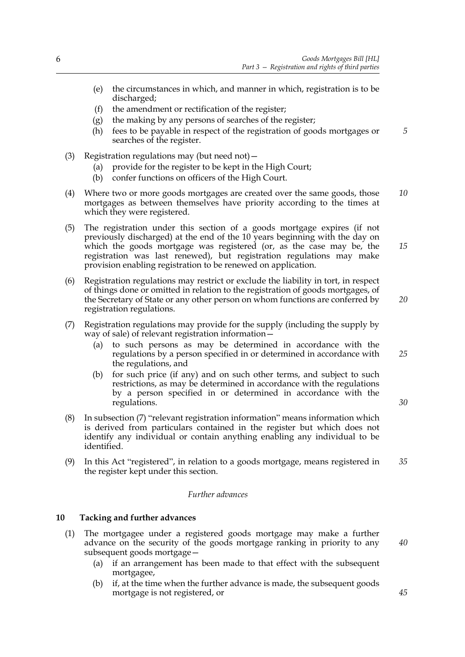- (e) the circumstances in which, and manner in which, registration is to be discharged;
- (f) the amendment or rectification of the register;
- (g) the making by any persons of searches of the register;
- <span id="page-9-5"></span>(h) fees to be payable in respect of the registration of goods mortgages or searches of the register. *5*
- (3) Registration regulations may (but need not)—
	- (a) provide for the register to be kept in the High Court;
	- (b) confer functions on officers of the High Court.
- (4) Where two or more goods mortgages are created over the same goods, those mortgages as between themselves have priority according to the times at which they were registered. *10*
- <span id="page-9-6"></span>(5) The registration under this section of a goods mortgage expires (if not previously discharged) at the end of the 10 years beginning with the day on which the goods mortgage was registered (or, as the case may be, the registration was last renewed), but registration regulations may make provision enabling registration to be renewed on application.
- <span id="page-9-7"></span>(6) Registration regulations may restrict or exclude the liability in tort, in respect of things done or omitted in relation to the registration of goods mortgages, of the Secretary of State or any other person on whom functions are conferred by registration regulations.
- <span id="page-9-2"></span>(7) Registration regulations may provide for the supply (including the supply by way of sale) of relevant registration information—
	- (a) to such persons as may be determined in accordance with the regulations by a person specified in or determined in accordance with the regulations, and
	- (b) for such price (if any) and on such other terms, and subject to such restrictions, as may be determined in accordance with the regulations by a person specified in or determined in accordance with the regulations.
- (8) In subsection [\(7\)](#page-9-2) "relevant registration information" means information which is derived from particulars contained in the register but which does not identify any individual or contain anything enabling any individual to be identified.
- <span id="page-9-4"></span>(9) In this Act "registered", in relation to a goods mortgage, means registered in the register kept under this section. *35*

#### *Further advances*

#### <span id="page-9-1"></span><span id="page-9-0"></span>**10 Tacking and further advances**

- <span id="page-9-3"></span>(1) The mortgagee under a registered goods mortgage may make a further advance on the security of the goods mortgage ranking in priority to any subsequent goods mortgage—
	- (a) if an arrangement has been made to that effect with the subsequent mortgagee,
	- (b) if, at the time when the further advance is made, the subsequent goods mortgage is not registered, or

*20*

*15*

*25*

*30*

*40*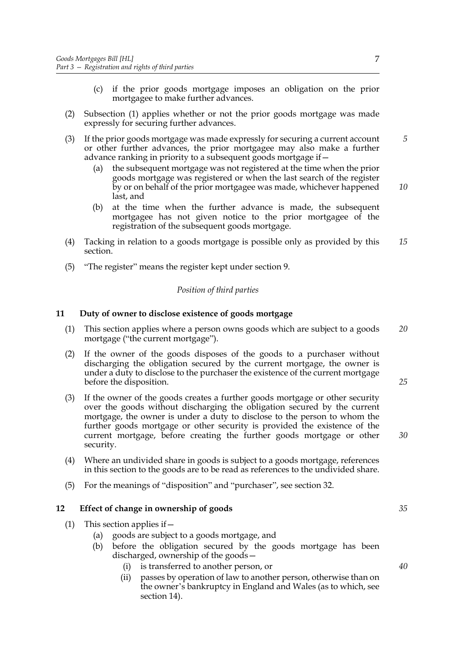- (c) if the prior goods mortgage imposes an obligation on the prior mortgagee to make further advances.
- (2) Subsection [\(1\)](#page-9-3) applies whether or not the prior goods mortgage was made expressly for securing further advances.
- (3) If the prior goods mortgage was made expressly for securing a current account or other further advances, the prior mortgagee may also make a further advance ranking in priority to a subsequent goods mortgage if—
	- (a) the subsequent mortgage was not registered at the time when the prior goods mortgage was registered or when the last search of the register by or on behalf of the prior mortgagee was made, whichever happened last, and *10*
	- (b) at the time when the further advance is made, the subsequent mortgagee has not given notice to the prior mortgagee of the registration of the subsequent goods mortgage.
- (4) Tacking in relation to a goods mortgage is possible only as provided by this section. *15*
- (5) "The register" means the register kept under section [9.](#page-8-1)

#### *Position of third parties*

#### <span id="page-10-2"></span><span id="page-10-0"></span>**11 Duty of owner to disclose existence of goods mortgage**

- (1) This section applies where a person owns goods which are subject to a goods mortgage ("the current mortgage"). *20*
- (2) If the owner of the goods disposes of the goods to a purchaser without discharging the obligation secured by the current mortgage, the owner is under a duty to disclose to the purchaser the existence of the current mortgage before the disposition.
- (3) If the owner of the goods creates a further goods mortgage or other security over the goods without discharging the obligation secured by the current mortgage, the owner is under a duty to disclose to the person to whom the further goods mortgage or other security is provided the existence of the current mortgage, before creating the further goods mortgage or other security.
- <span id="page-10-4"></span>(4) Where an undivided share in goods is subject to a goods mortgage, references in this section to the goods are to be read as references to the undivided share.
- <span id="page-10-1"></span>(5) For the meanings of "disposition" and "purchaser", see section [32](#page-20-3).

#### <span id="page-10-3"></span>**12 Effect of change in ownership of goods**

- (1) This section applies if—
	- (a) goods are subject to a goods mortgage, and
	- (b) before the obligation secured by the goods mortgage has been discharged, ownership of the goods—
		- (i) is transferred to another person, or
		- (ii) passes by operation of law to another person, otherwise than on the owner's bankruptcy in England and Wales (as to which, see section [14\)](#page-11-2).

*5*

*40*

*25*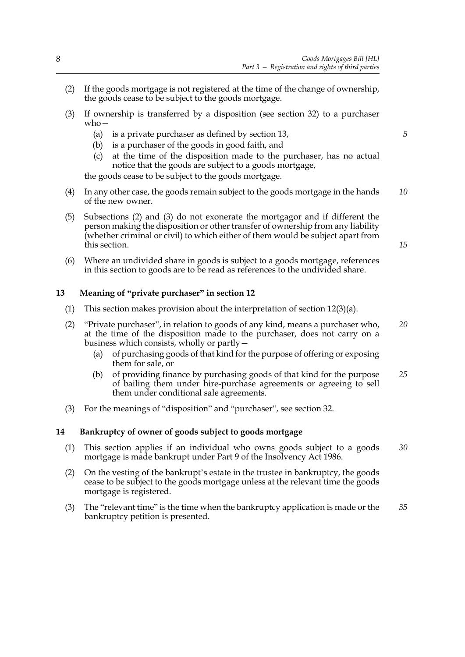- <span id="page-11-4"></span>(2) If the goods mortgage is not registered at the time of the change of ownership, the goods cease to be subject to the goods mortgage.
- <span id="page-11-6"></span><span id="page-11-5"></span>(3) If ownership is transferred by a disposition (see section [32](#page-20-3)) to a purchaser who—
	- (a) is a private purchaser as defined by section [13](#page-11-3),
	- (b) is a purchaser of the goods in good faith, and
	- (c) at the time of the disposition made to the purchaser, has no actual notice that the goods are subject to a goods mortgage,

the goods cease to be subject to the goods mortgage.

- (4) In any other case, the goods remain subject to the goods mortgage in the hands of the new owner. *10*
- (5) Subsections [\(2\)](#page-11-4) and [\(3\)](#page-11-5) do not exonerate the mortgagor and if different the person making the disposition or other transfer of ownership from any liability (whether criminal or civil) to which either of them would be subject apart from this section.
- <span id="page-11-7"></span>(6) Where an undivided share in goods is subject to a goods mortgage, references in this section to goods are to be read as references to the undivided share.

#### <span id="page-11-3"></span><span id="page-11-0"></span>**13 Meaning of "private purchaser" in section [12](#page-10-3)**

- (1) This section makes provision about the interpretation of section  $12(3)(a)$  $12(3)(a)$ .
- (2) "Private purchaser", in relation to goods of any kind, means a purchaser who, at the time of the disposition made to the purchaser, does not carry on a business which consists, wholly or partly— *20*
	- (a) of purchasing goods of that kind for the purpose of offering or exposing them for sale, or
	- (b) of providing finance by purchasing goods of that kind for the purpose of bailing them under hire-purchase agreements or agreeing to sell them under conditional sale agreements. *25*
- <span id="page-11-1"></span>(3) For the meanings of "disposition" and "purchaser", see section [32](#page-20-3).

#### <span id="page-11-2"></span>**14 Bankruptcy of owner of goods subject to goods mortgage**

- (1) This section applies if an individual who owns goods subject to a goods mortgage is made bankrupt under Part 9 of the Insolvency Act 1986. *30*
- (2) On the vesting of the bankrupt's estate in the trustee in bankruptcy, the goods cease to be subject to the goods mortgage unless at the relevant time the goods mortgage is registered.
- (3) The "relevant time" is the time when the bankruptcy application is made or the bankruptcy petition is presented. *35*

*5*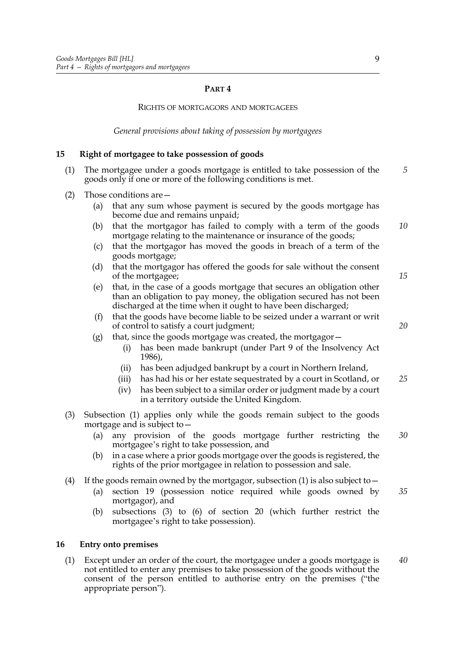#### **PART 4**

#### RIGHTS OF MORTGAGORS AND MORTGAGEES

*General provisions about taking of possession by mortgagees*

#### <span id="page-12-3"></span><span id="page-12-0"></span>**15 Right of mortgagee to take possession of goods**

- <span id="page-12-2"></span>(1) The mortgagee under a goods mortgage is entitled to take possession of the goods only if one or more of the following conditions is met. *5*
- <span id="page-12-6"></span><span id="page-12-5"></span>(2) Those conditions are—
	- (a) that any sum whose payment is secured by the goods mortgage has become due and remains unpaid;
	- (b) that the mortgagor has failed to comply with a term of the goods mortgage relating to the maintenance or insurance of the goods; *10*
	- (c) that the mortgagor has moved the goods in breach of a term of the goods mortgage;
	- (d) that the mortgagor has offered the goods for sale without the consent of the mortgagee;
	- (e) that, in the case of a goods mortgage that secures an obligation other than an obligation to pay money, the obligation secured has not been discharged at the time when it ought to have been discharged;
	- (f) that the goods have become liable to be seized under a warrant or writ of control to satisfy a court judgment;
	- (g) that, since the goods mortgage was created, the mortgagor $-$ 
		- (i) has been made bankrupt (under Part 9 of the Insolvency Act 1986),
		- (ii) has been adjudged bankrupt by a court in Northern Ireland,
		- (iii) has had his or her estate sequestrated by a court in Scotland, or *25*
		- (iv) has been subject to a similar order or judgment made by a court in a territory outside the United Kingdom.
- <span id="page-12-7"></span>(3) Subsection [\(1\)](#page-12-2) applies only while the goods remain subject to the goods mortgage and is subject to—
	- (a) any provision of the goods mortgage further restricting the mortgagee's right to take possession, and *30*
	- (b) in a case where a prior goods mortgage over the goods is registered, the rights of the prior mortgagee in relation to possession and sale.
- (4) If the goods remain owned by the mortgagor, subsection [\(1\)](#page-12-2) is also subject to  $-$ 
	- (a) section [19](#page-14-1) (possession notice required while goods owned by mortgagor), and *35*
	- (b) subsections [\(3\)](#page-15-3) to [\(6\)](#page-15-4) of section [20](#page-15-2) (which further restrict the mortgagee's right to take possession).

#### <span id="page-12-1"></span>**16 Entry onto premises**

<span id="page-12-4"></span>(1) Except under an order of the court, the mortgagee under a goods mortgage is not entitled to enter any premises to take possession of the goods without the consent of the person entitled to authorise entry on the premises ("the appropriate person"). *40*

*15*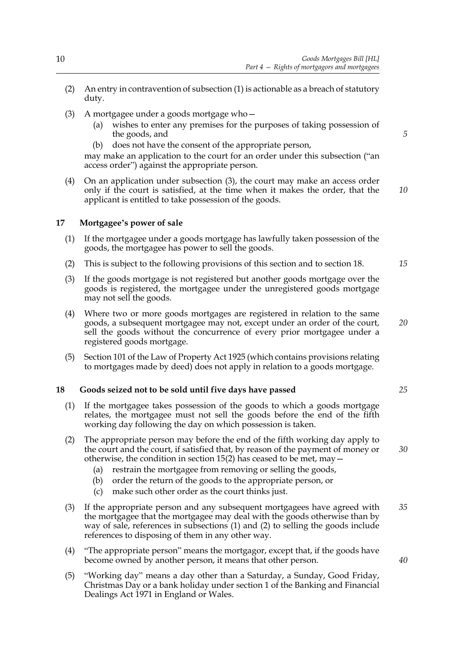- (2) An entry in contravention of subsection [\(1\)](#page-12-4) is actionable as a breach of statutory duty.
- <span id="page-13-3"></span>(3) A mortgagee under a goods mortgage who—
	- (a) wishes to enter any premises for the purposes of taking possession of the goods, and
	- (b) does not have the consent of the appropriate person,

may make an application to the court for an order under this subsection ("an access order") against the appropriate person.

(4) On an application under subsection [\(3\)](#page-13-3), the court may make an access order only if the court is satisfied, at the time when it makes the order, that the applicant is entitled to take possession of the goods.

#### <span id="page-13-0"></span>**17 Mortgagee's power of sale**

- (1) If the mortgagee under a goods mortgage has lawfully taken possession of the goods, the mortgagee has power to sell the goods.
- (2) This is subject to the following provisions of this section and to section [18.](#page-13-2)
- (3) If the goods mortgage is not registered but another goods mortgage over the goods is registered, the mortgagee under the unregistered goods mortgage may not sell the goods.
- (4) Where two or more goods mortgages are registered in relation to the same goods, a subsequent mortgagee may not, except under an order of the court, sell the goods without the concurrence of every prior mortgagee under a registered goods mortgage.
- (5) Section 101 of the Law of Property Act 1925 (which contains provisions relating to mortgages made by deed) does not apply in relation to a goods mortgage.

#### <span id="page-13-2"></span><span id="page-13-1"></span>**18 Goods seized not to be sold until five days have passed**

- <span id="page-13-4"></span>(1) If the mortgagee takes possession of the goods to which a goods mortgage relates, the mortgagee must not sell the goods before the end of the fifth working day following the day on which possession is taken.
- <span id="page-13-5"></span>(2) The appropriate person may before the end of the fifth working day apply to the court and the court, if satisfied that, by reason of the payment of money or otherwise, the condition in section [15](#page-12-3)[\(2\)](#page-12-5) has ceased to be met, may—
	- (a) restrain the mortgagee from removing or selling the goods,
	- (b) order the return of the goods to the appropriate person, or
	- (c) make such other order as the court thinks just.
- (3) If the appropriate person and any subsequent mortgagees have agreed with the mortgagee that the mortgagee may deal with the goods otherwise than by way of sale, references in subsections [\(1\)](#page-13-4) and [\(2\)](#page-13-5) to selling the goods include references to disposing of them in any other way. *35*
- (4) "The appropriate person" means the mortgagor, except that, if the goods have become owned by another person, it means that other person.
- (5) "Working day" means a day other than a Saturday, a Sunday, Good Friday, Christmas Day or a bank holiday under section 1 of the Banking and Financial Dealings Act 1971 in England or Wales.

*5*

*10*

*15*

*20*

*25*

*30*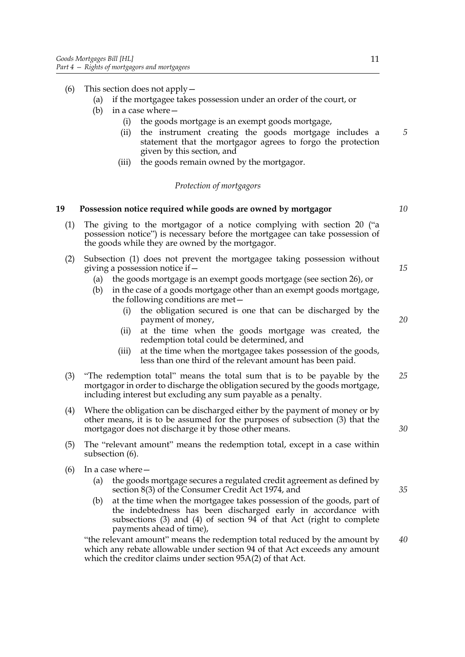- (6) This section does not apply—
	- (a) if the mortgagee takes possession under an order of the court, or
	- (b) in a case where—
		- (i) the goods mortgage is an exempt goods mortgage,
		- (ii) the instrument creating the goods mortgage includes a statement that the mortgagor agrees to forgo the protection given by this section, and
		- (iii) the goods remain owned by the mortgagor.

#### *Protection of mortgagors*

#### <span id="page-14-1"></span><span id="page-14-0"></span>**19 Possession notice required while goods are owned by mortgagor**

- <span id="page-14-2"></span>(1) The giving to the mortgagor of a notice complying with section [20](#page-15-2) ("a possession notice") is necessary before the mortgagee can take possession of the goods while they are owned by the mortgagor.
- <span id="page-14-5"></span>(2) Subsection [\(1\)](#page-14-2) does not prevent the mortgagee taking possession without giving a possession notice if—
	- (a) the goods mortgage is an exempt goods mortgage (see section [26](#page-18-3)), or
	- (b) in the case of a goods mortgage other than an exempt goods mortgage, the following conditions are met—
		- (i) the obligation secured is one that can be discharged by the payment of money,
		- (ii) at the time when the goods mortgage was created, the redemption total could be determined, and
		- (iii) at the time when the mortgagee takes possession of the goods, less than one third of the relevant amount has been paid.
- <span id="page-14-3"></span>(3) "The redemption total" means the total sum that is to be payable by the mortgagor in order to discharge the obligation secured by the goods mortgage, including interest but excluding any sum payable as a penalty. *25*
- (4) Where the obligation can be discharged either by the payment of money or by other means, it is to be assumed for the purposes of subsection [\(3\)](#page-14-3) that the mortgagor does not discharge it by those other means.
- (5) The "relevant amount" means the redemption total, except in a case within subsection [\(6\).](#page-14-4)
- <span id="page-14-4"></span>(6) In a case where—
	- (a) the goods mortgage secures a regulated credit agreement as defined by section 8(3) of the Consumer Credit Act 1974, and
	- (b) at the time when the mortgagee takes possession of the goods, part of the indebtedness has been discharged early in accordance with subsections (3) and (4) of section 94 of that Act (right to complete payments ahead of time),

"the relevant amount" means the redemption total reduced by the amount by which any rebate allowable under section 94 of that Act exceeds any amount which the creditor claims under section 95A(2) of that Act. *40*

*20*

*15*

*5*

*10*

*35*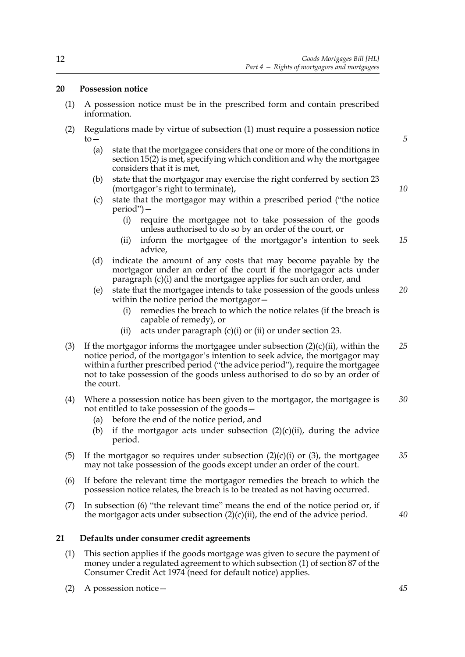#### <span id="page-15-2"></span><span id="page-15-0"></span>**20 Possession notice**

- <span id="page-15-5"></span>(1) A possession notice must be in the prescribed form and contain prescribed information.
- <span id="page-15-7"></span><span id="page-15-6"></span>(2) Regulations made by virtue of subsection [\(1\)](#page-15-5) must require a possession notice  $to-$ 
	- (a) state that the mortgagee considers that one or more of the conditions in section [15](#page-12-3)[\(2\)](#page-12-5) is met, specifying which condition and why the mortgagee considers that it is met,
	- (b) state that the mortgagor may exercise the right conferred by section [23](#page-16-2) (mortgagor's right to terminate),
	- (c) state that the mortgagor may within a prescribed period ("the notice period")—
		- (i) require the mortgagee not to take possession of the goods unless authorised to do so by an order of the court, or
		- (ii) inform the mortgagee of the mortgagor's intention to seek advice, *15*
	- (d) indicate the amount of any costs that may become payable by the mortgagor under an order of the court if the mortgagor acts under paragraph [\(c\)\(i\)](#page-15-6) and the mortgagee applies for such an order, and
	- (e) state that the mortgagee intends to take possession of the goods unless within the notice period the mortgagor— *20*
		- (i) remedies the breach to which the notice relates (if the breach is capable of remedy), or
		- [\(ii\)](#page-15-7) acts under paragraph  $(c)(i)$  or (ii) or under section [23.](#page-16-2)
- <span id="page-15-3"></span>(3) If the mortgagor informs the mortgagee under subsection  $(2)(c)(ii)$ , within the notice period, of the mortgagor's intention to seek advice, the mortgagor may within a further prescribed period ("the advice period"), require the mortgagee not to take possession of the goods unless authorised to do so by an order of the court. *25*
- (4) Where a possession notice has been given to the mortgagor, the mortgagee is not entitled to take possession of the goods— *30*
	- (a) before the end of the notice period, and
	- (b) if the mortgagor acts under subsection  $(2)(c)(ii)$ , during the advice period.
- (5) If the mortgagor so requires under subsection  $(2)(c)(i)$  or  $(3)$ , the mortgagee may not take possession of the goods except under an order of the court. *35*
- <span id="page-15-4"></span>(6) If before the relevant time the mortgagor remedies the breach to which the possession notice relates, the breach is to be treated as not having occurred.
- (7) In subsection [\(6\)](#page-15-4) "the relevant time" means the end of the notice period or, if the mortgagor acts under subsection  $(2)(c)(ii)$ , the end of the advice period.

*40*

*5*

*10*

#### <span id="page-15-1"></span>**21 Defaults under consumer credit agreements**

- (1) This section applies if the goods mortgage was given to secure the payment of money under a regulated agreement to which subsection (1) of section 87 of the Consumer Credit Act 1974 (need for default notice) applies.
- (2) A possession notice—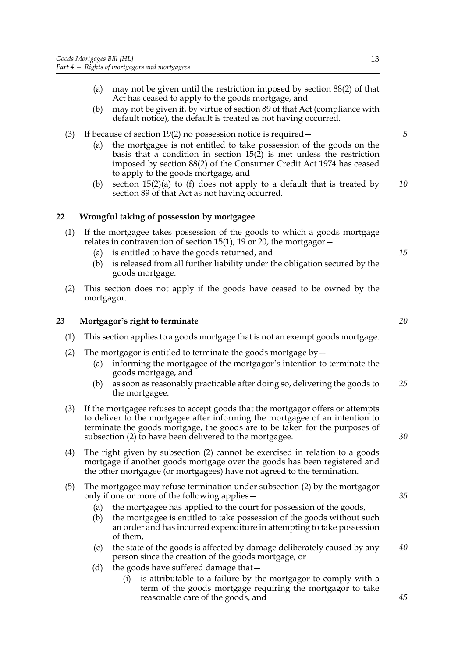- (a) may not be given until the restriction imposed by section 88(2) of that Act has ceased to apply to the goods mortgage, and
- (b) may not be given if, by virtue of section 89 of that Act (compliance with default notice), the default is treated as not having occurred.
- (3) If because of section [19](#page-14-1)[\(2\)](#page-14-5) no possession notice is required—
	- (a) the mortgagee is not entitled to take possession of the goods on the basis that a condition in section [15](#page-12-3)[\(2\)](#page-12-5) is met unless the restriction imposed by section 88(2) of the Consumer Credit Act 1974 has ceased to apply to the goods mortgage, and
	- (b) section  $15(2)(a)$  $15(2)(a)$  to [\(f\)](#page-12-7) does not apply to a default that is treated by section 89 of that Act as not having occurred. *10*

#### <span id="page-16-0"></span>**22 Wrongful taking of possession by mortgagee**

- (1) If the mortgagee takes possession of the goods to which a goods mortgage relates in contravention of section [15](#page-12-3)[\(1\)](#page-12-2), [19](#page-14-1) or [20,](#page-15-2) the mortgagor $-$ 
	- (a) is entitled to have the goods returned, and
	- (b) is released from all further liability under the obligation secured by the goods mortgage.
- (2) This section does not apply if the goods have ceased to be owned by the mortgagor.

#### <span id="page-16-2"></span><span id="page-16-1"></span>**23 Mortgagor's right to terminate**

- (1) This section applies to a goods mortgage that is not an exempt goods mortgage.
- <span id="page-16-3"></span>(2) The mortgagor is entitled to terminate the goods mortgage  $by -$ 
	- (a) informing the mortgagee of the mortgagor's intention to terminate the goods mortgage, and
	- (b) as soon as reasonably practicable after doing so, delivering the goods to the mortgagee. *25*
- (3) If the mortgagee refuses to accept goods that the mortgagor offers or attempts to deliver to the mortgagee after informing the mortgagee of an intention to terminate the goods mortgage, the goods are to be taken for the purposes of subsection [\(2\)](#page-16-3) to have been delivered to the mortgagee.
- (4) The right given by subsection [\(2\)](#page-16-3) cannot be exercised in relation to a goods mortgage if another goods mortgage over the goods has been registered and the other mortgagee (or mortgagees) have not agreed to the termination.

#### <span id="page-16-4"></span>(5) The mortgagee may refuse termination under subsection [\(2\)](#page-16-3) by the mortgagor only if one or more of the following applies—

- (a) the mortgagee has applied to the court for possession of the goods,
- (b) the mortgagee is entitled to take possession of the goods without such an order and has incurred expenditure in attempting to take possession of them,
- (c) the state of the goods is affected by damage deliberately caused by any person since the creation of the goods mortgage, or *40*
- (d) the goods have suffered damage that—
	- (i) is attributable to a failure by the mortgagor to comply with a term of the goods mortgage requiring the mortgagor to take reasonable care of the goods, and

*30*

*45*

*15*

*5*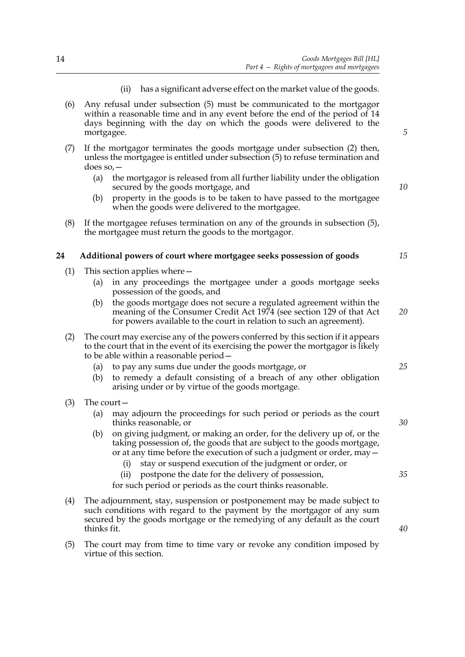14

- (ii) has a significant adverse effect on the market value of the goods.
- (6) Any refusal under subsection [\(5\)](#page-16-4) must be communicated to the mortgagor within a reasonable time and in any event before the end of the period of 14 days beginning with the day on which the goods were delivered to the mortgagee.
- (7) If the mortgagor terminates the goods mortgage under subsection [\(2\)](#page-16-3) then, unless the mortgagee is entitled under subsection [\(5\)](#page-16-4) to refuse termination and does so,—
	- (a) the mortgagor is released from all further liability under the obligation secured by the goods mortgage, and
	- (b) property in the goods is to be taken to have passed to the mortgagee when the goods were delivered to the mortgagee.
- (8) If the mortgagee refuses termination on any of the grounds in subsection [\(5\)](#page-16-4), the mortgagee must return the goods to the mortgagor.

#### <span id="page-17-0"></span>**24 Additional powers of court where mortgagee seeks possession of goods**

- (1) This section applies where—
	- (a) in any proceedings the mortgagee under a goods mortgage seeks possession of the goods, and
	- (b) the goods mortgage does not secure a regulated agreement within the meaning of the Consumer Credit Act 1974 (see section 129 of that Act for powers available to the court in relation to such an agreement).
- (2) The court may exercise any of the powers conferred by this section if it appears to the court that in the event of its exercising the power the mortgagor is likely to be able within a reasonable period—
	- (a) to pay any sums due under the goods mortgage, or
	- (b) to remedy a default consisting of a breach of any other obligation arising under or by virtue of the goods mortgage.
- (3) The court—
	- (a) may adjourn the proceedings for such period or periods as the court thinks reasonable, or
	- (b) on giving judgment, or making an order, for the delivery up of, or the taking possession of, the goods that are subject to the goods mortgage, or at any time before the execution of such a judgment or order, may
		- stay or suspend execution of the judgment or order, or
		- (ii) postpone the date for the delivery of possession,

for such period or periods as the court thinks reasonable.

- (4) The adjournment, stay, suspension or postponement may be made subject to such conditions with regard to the payment by the mortgagor of any sum secured by the goods mortgage or the remedying of any default as the court thinks fit.
- (5) The court may from time to time vary or revoke any condition imposed by virtue of this section.

*5*

*10*

*15*

*20*

*25*

*30*

*40*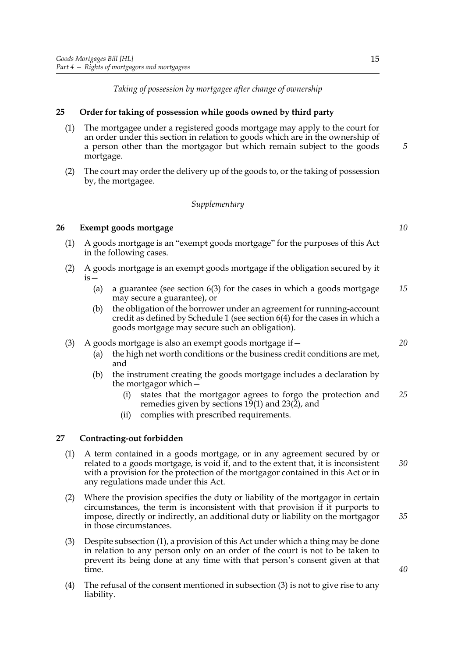*Taking of possession by mortgagee after change of ownership*

#### <span id="page-18-0"></span>**25 Order for taking of possession while goods owned by third party**

- (1) The mortgagee under a registered goods mortgage may apply to the court for an order under this section in relation to goods which are in the ownership of a person other than the mortgagor but which remain subject to the goods mortgage.
- (2) The court may order the delivery up of the goods to, or the taking of possession by, the mortgagee.

#### *Supplementary*

#### <span id="page-18-3"></span><span id="page-18-1"></span>**26 Exempt goods mortgage**

- (1) A goods mortgage is an "exempt goods mortgage" for the purposes of this Act in the following cases.
- (2) A goods mortgage is an exempt goods mortgage if the obligation secured by it  $is -$ 
	- (a) a guarantee (see section [6](#page-6-3)[\(3\)](#page-6-5) for the cases in which a goods mortgage may secure a guarantee), or *15*
	- (b) the obligation of the borrower under an agreement for running-account credit as defined by Schedule [1](#page-23-0) (see section [6](#page-6-3)[\(4\)](#page-6-6) for the cases in which a goods mortgage may secure such an obligation).
- (3) A goods mortgage is also an exempt goods mortgage if—
	- (a) the high net worth conditions or the business credit conditions are met, and
	- (b) the instrument creating the goods mortgage includes a declaration by the mortgagor which—
		- (i) states that the mortgagor agrees to forgo the protection and remedies given by sections  $19(1)$  $19(1)$  and  $23(2)$  $23(2)$ , and *25*
		- (ii) complies with prescribed requirements.

#### <span id="page-18-2"></span>**27 Contracting-out forbidden**

- <span id="page-18-4"></span>(1) A term contained in a goods mortgage, or in any agreement secured by or related to a goods mortgage, is void if, and to the extent that, it is inconsistent with a provision for the protection of the mortgagor contained in this Act or in any regulations made under this Act.
- (2) Where the provision specifies the duty or liability of the mortgagor in certain circumstances, the term is inconsistent with that provision if it purports to impose, directly or indirectly, an additional duty or liability on the mortgagor in those circumstances.
- <span id="page-18-5"></span>(3) Despite subsection [\(1\)](#page-18-4), a provision of this Act under which a thing may be done in relation to any person only on an order of the court is not to be taken to prevent its being done at any time with that person's consent given at that time.
- (4) The refusal of the consent mentioned in subsection [\(3\)](#page-18-5) is not to give rise to any liability.

*20*

*5*

*10*

*30*

*35*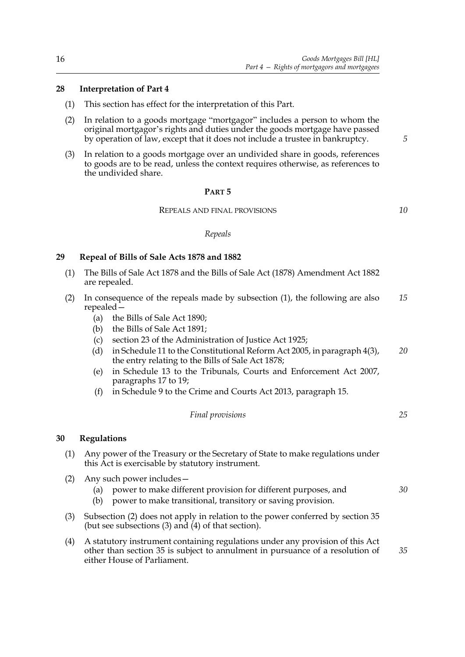#### <span id="page-19-5"></span><span id="page-19-0"></span>**28 Interpretation of Part 4**

- (1) This section has effect for the interpretation of this Part.
- <span id="page-19-6"></span>(2) In relation to a goods mortgage "mortgagor" includes a person to whom the original mortgagor's rights and duties under the goods mortgage have passed by operation of law, except that it does not include a trustee in bankruptcy.
- <span id="page-19-8"></span>(3) In relation to a goods mortgage over an undivided share in goods, references to goods are to be read, unless the context requires otherwise, as references to the undivided share.

#### **PART 5**

#### REPEALS AND FINAL PROVISIONS

*10*

*5*

#### *Repeals*

#### <span id="page-19-1"></span>**29 Repeal of Bills of Sale Acts 1878 and 1882**

- <span id="page-19-3"></span>(1) The Bills of Sale Act 1878 and the Bills of Sale Act (1878) Amendment Act 1882 are repealed.
- (2) In consequence of the repeals made by subsection [\(1\)](#page-19-3), the following are also repealed— *15*
	- (a) the Bills of Sale Act 1890;
	- (b) the Bills of Sale Act 1891;
	- (c) section 23 of the Administration of Justice Act 1925;
	- (d) in Schedule 11 to the Constitutional Reform Act 2005, in paragraph 4(3), the entry relating to the Bills of Sale Act 1878; *20*
	- (e) in Schedule 13 to the Tribunals, Courts and Enforcement Act 2007, paragraphs 17 to 19;
	- (f) in Schedule 9 to the Crime and Courts Act 2013, paragraph 15.

*Final provisions*

*25*

#### <span id="page-19-7"></span><span id="page-19-2"></span>**30 Regulations**

- (1) Any power of the Treasury or the Secretary of State to make regulations under this Act is exercisable by statutory instrument.
- <span id="page-19-4"></span>(2) Any such power includes—
	- (a) power to make different provision for different purposes, and *30*
	- (b) power to make transitional, transitory or saving provision.
- (3) Subsection [\(2\)](#page-19-4) does not apply in relation to the power conferred by section [35](#page-21-3) (but see subsections [\(3\)](#page-21-4) and [\(4\)](#page-21-5) of that section).
- (4) A statutory instrument containing regulations under any provision of this Act other than section [35](#page-21-3) is subject to annulment in pursuance of a resolution of either House of Parliament. *35*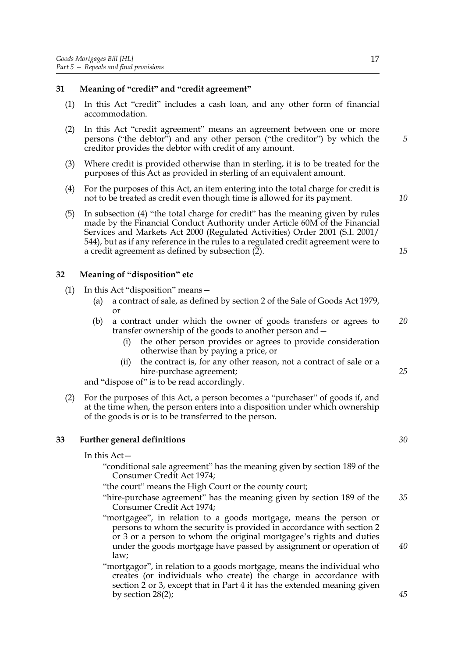#### <span id="page-20-7"></span><span id="page-20-0"></span>**31 Meaning of "credit" and "credit agreement"**

- (1) In this Act "credit" includes a cash loan, and any other form of financial accommodation.
- <span id="page-20-5"></span>(2) In this Act "credit agreement" means an agreement between one or more persons ("the debtor") and any other person ("the creditor") by which the creditor provides the debtor with credit of any amount.
- (3) Where credit is provided otherwise than in sterling, it is to be treated for the purposes of this Act as provided in sterling of an equivalent amount.
- <span id="page-20-8"></span><span id="page-20-4"></span>(4) For the purposes of this Act, an item entering into the total charge for credit is not to be treated as credit even though time is allowed for its payment.
- (5) In subsection [\(4\)](#page-20-4) "the total charge for credit" has the meaning given by rules made by the Financial Conduct Authority under Article 60M of the Financial Services and Markets Act 2000 (Regulated Activities) Order 2001 (S.I. 2001/ 544), but as if any reference in the rules to a regulated credit agreement were to a credit agreement as defined by subsection [\(2\).](#page-20-5)

#### <span id="page-20-3"></span><span id="page-20-1"></span>**32 Meaning of "disposition" etc**

- (1) In this Act "disposition" means—
	- (a) a contract of sale, as defined by section 2 of the Sale of Goods Act 1979, or
	- (b) a contract under which the owner of goods transfers or agrees to transfer ownership of the goods to another person and— *20*
		- (i) the other person provides or agrees to provide consideration otherwise than by paying a price, or
		- (ii) the contract is, for any other reason, not a contract of sale or a hire-purchase agreement;

and "dispose of" is to be read accordingly.

(2) For the purposes of this Act, a person becomes a "purchaser" of goods if, and at the time when, the person enters into a disposition under which ownership of the goods is or is to be transferred to the person.

#### <span id="page-20-6"></span>**33 Further general definitions**

#### <span id="page-20-2"></span>In this Act—

- "conditional sale agreement" has the meaning given by section 189 of the Consumer Credit Act 1974;
- "the court" means the High Court or the county court;
- "hire-purchase agreement" has the meaning given by section 189 of the Consumer Credit Act 1974; *35*
- "mortgagee", in relation to a goods mortgage, means the person or persons to whom the security is provided in accordance with section [2](#page-5-3) or [3](#page-5-5) or a person to whom the original mortgagee's rights and duties under the goods mortgage have passed by assignment or operation of law;
- "mortgagor", in relation to a goods mortgage, means the individual who creates (or individuals who create) the charge in accordance with section [2](#page-5-3) or [3](#page-5-5), except that in Part 4 it has the extended meaning given by section [28](#page-19-5)[\(2\)](#page-19-6);

17

*5*

*10*

*15*

*30*

*25*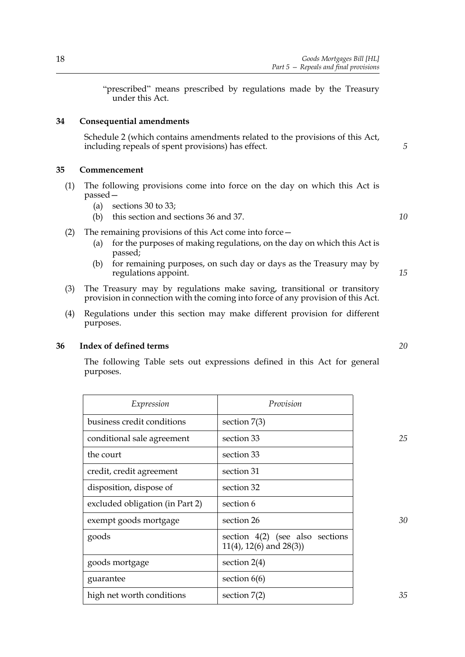"prescribed" means prescribed by regulations made by the Treasury under this Act.

#### **34 Consequential amendments**

<span id="page-21-0"></span>Schedule [2](#page-24-0) (which contains amendments related to the provisions of this Act, including repeals of spent provisions) has effect.

#### <span id="page-21-3"></span><span id="page-21-1"></span>**35 Commencement**

- (1) The following provisions come into force on the day on which this Act is passed—
	- (a) sections [30](#page-19-7) to [33](#page-20-6);
	- (b) this section and sections [36](#page-21-6) and [37](#page-22-1).
- (2) The remaining provisions of this Act come into force—
	- (a) for the purposes of making regulations, on the day on which this Act is passed;
	- (b) for remaining purposes, on such day or days as the Treasury may by regulations appoint.
- <span id="page-21-4"></span>(3) The Treasury may by regulations make saving, transitional or transitory provision in connection with the coming into force of any provision of this Act.
- <span id="page-21-5"></span>(4) Regulations under this section may make different provision for different purposes.

#### <span id="page-21-6"></span>**36 Index of defined terms**

<span id="page-21-2"></span>The following Table sets out expressions defined in this Act for general purposes.

| Expression                      | Provision                                                            |    |
|---------------------------------|----------------------------------------------------------------------|----|
| business credit conditions      | section $7(3)$                                                       |    |
| conditional sale agreement      | section 33                                                           | 25 |
| the court                       | section 33                                                           |    |
| credit, credit agreement        | section 31                                                           |    |
| disposition, dispose of         | section 32                                                           |    |
| excluded obligation (in Part 2) | section 6                                                            |    |
| exempt goods mortgage           | section 26                                                           | 30 |
| goods                           | section $4(2)$ (see also sections<br>$11(4)$ , $12(6)$ and $28(3)$ ) |    |
| goods mortgage                  | section $2(4)$                                                       |    |
| guarantee                       | section $6(6)$                                                       |    |
| high net worth conditions       | section $7(2)$                                                       | 35 |

*20*

*5*

*10*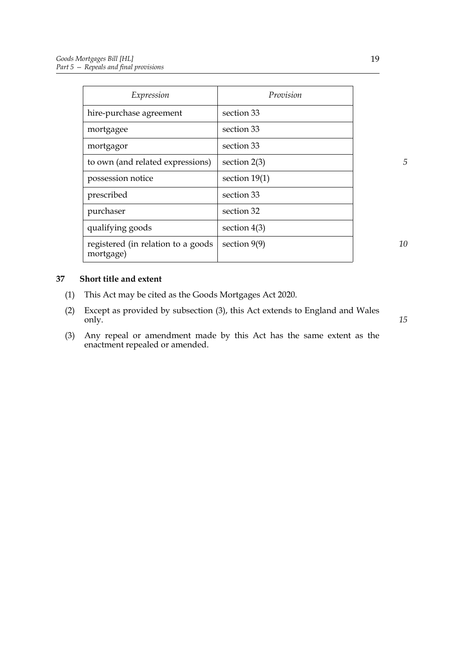| Expression                                       | Provision       |
|--------------------------------------------------|-----------------|
| hire-purchase agreement                          | section 33      |
| mortgagee                                        | section 33      |
| mortgagor                                        | section 33      |
| to own (and related expressions)                 | section $2(3)$  |
| possession notice                                | section $19(1)$ |
| prescribed                                       | section 33      |
| purchaser                                        | section 32      |
| qualifying goods                                 | section $4(3)$  |
| registered (in relation to a goods)<br>mortgage) | section $9(9)$  |

<span id="page-22-1"></span><span id="page-22-0"></span>**37 Short title and extent**

- (1) This Act may be cited as the Goods Mortgages Act 2020.
- (2) Except as provided by subsection [\(3\),](#page-22-2) this Act extends to England and Wales only.
- <span id="page-22-2"></span>(3) Any repeal or amendment made by this Act has the same extent as the enactment repealed or amended.

19

*15*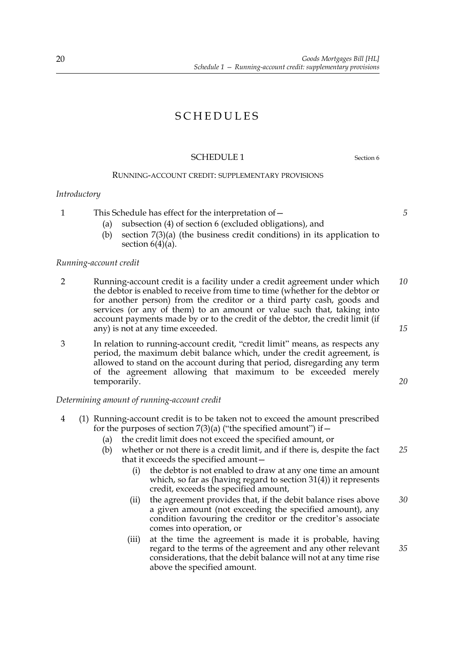# SCHEDULES

#### <span id="page-23-0"></span>SCHEDULE 1 Section [6](#page-6-1)

#### RUNNING-ACCOUNT CREDIT: SUPPLEMENTARY PROVISIONS

#### *Introductory*

1 This Schedule has effect for the interpretation of—

- (a) subsection [\(4\)](#page-6-7) of section [6](#page-6-1) (excluded obligations), and
- (b) section [7](#page-7-0)[\(3\)\(a\)](#page-7-9) (the business credit conditions) in its application to section  $6(4)(a)$  $6(4)(a)$ .

#### *Running-account credit*

- 2 Running-account credit is a facility under a credit agreement under which the debtor is enabled to receive from time to time (whether for the debtor or for another person) from the creditor or a third party cash, goods and services (or any of them) to an amount or value such that, taking into account payments made by or to the credit of the debtor, the credit limit (if any) is not at any time exceeded. *10 15*
- 3 In relation to running-account credit, "credit limit" means, as respects any period, the maximum debit balance which, under the credit agreement, is allowed to stand on the account during that period, disregarding any term of the agreement allowing that maximum to be exceeded merely temporarily.

#### *Determining amount of running-account credit*

- <span id="page-23-1"></span>4 (1) Running-account credit is to be taken not to exceed the amount prescribed for the purposes of section  $7(3)(a)$  $7(3)(a)$  ("the specified amount") if  $-$ 
	- (a) the credit limit does not exceed the specified amount, or
	- (b) whether or not there is a credit limit, and if there is, despite the fact that it exceeds the specified amount— *25*
		- (i) the debtor is not enabled to draw at any one time an amount which, so far as (having regard to section [31](#page-20-0)[\(4\)](#page-20-8)) it represents credit, exceeds the specified amount,
		- (ii) the agreement provides that, if the debit balance rises above a given amount (not exceeding the specified amount), any condition favouring the creditor or the creditor's associate comes into operation, or *30*
		- (iii) at the time the agreement is made it is probable, having regard to the terms of the agreement and any other relevant considerations, that the debit balance will not at any time rise above the specified amount. *35*

*5*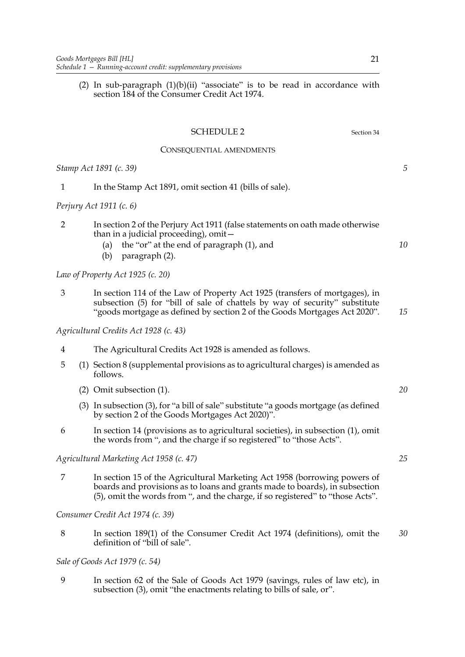<span id="page-24-0"></span>(2) In sub-paragraph  $(1)(b)(ii)$  "associate" is to be read in accordance with section 184 of the Consumer Credit Act 1974.

|                | <b>SCHEDULE 2</b><br>Section 34                                                                                                                                                                                                            |    |
|----------------|--------------------------------------------------------------------------------------------------------------------------------------------------------------------------------------------------------------------------------------------|----|
|                | CONSEQUENTIAL AMENDMENTS                                                                                                                                                                                                                   |    |
|                | Stamp Act 1891 (c. 39)                                                                                                                                                                                                                     | 5  |
| 1              | In the Stamp Act 1891, omit section 41 (bills of sale).                                                                                                                                                                                    |    |
|                | <i>Perjury Act 1911 (c. 6)</i>                                                                                                                                                                                                             |    |
| $\overline{2}$ | In section 2 of the Perjury Act 1911 (false statements on oath made otherwise<br>than in a judicial proceeding), omit-<br>the "or" at the end of paragraph (1), and<br>(a)<br>paragraph (2).<br>(b)                                        | 10 |
|                | Law of Property Act 1925 (c. 20)                                                                                                                                                                                                           |    |
| 3              | In section 114 of the Law of Property Act 1925 (transfers of mortgages), in<br>subsection (5) for "bill of sale of chattels by way of security" substitute<br>"goods mortgage as defined by section 2 of the Goods Mortgages Act 2020".    | 15 |
|                | Agricultural Credits Act 1928 (c. 43)                                                                                                                                                                                                      |    |
| 4              | The Agricultural Credits Act 1928 is amended as follows.                                                                                                                                                                                   |    |
| 5              | (1) Section 8 (supplemental provisions as to agricultural charges) is amended as<br>follows.                                                                                                                                               |    |
|                | (2) Omit subsection (1).                                                                                                                                                                                                                   | 20 |
|                | (3) In subsection (3), for "a bill of sale" substitute "a goods mortgage (as defined<br>by section 2 of the Goods Mortgages Act 2020)".                                                                                                    |    |
| 6              | In section 14 (provisions as to agricultural societies), in subsection (1), omit<br>the words from ", and the charge if so registered" to "those Acts".                                                                                    |    |
|                | Agricultural Marketing Act 1958 (c. 47)                                                                                                                                                                                                    | 25 |
| 7              | In section 15 of the Agricultural Marketing Act 1958 (borrowing powers of<br>boards and provisions as to loans and grants made to boards), in subsection<br>(5), omit the words from ", and the charge, if so registered" to "those Acts". |    |
|                | Consumer Credit Act 1974 (c. 39)                                                                                                                                                                                                           |    |
| 8              | In section 189(1) of the Consumer Credit Act 1974 (definitions), omit the<br>definition of "bill of sale".                                                                                                                                 | 30 |

### *Sale of Goods Act 1979 (c. 54)*

9 In section 62 of the Sale of Goods Act 1979 (savings, rules of law etc), in subsection (3), omit "the enactments relating to bills of sale, or".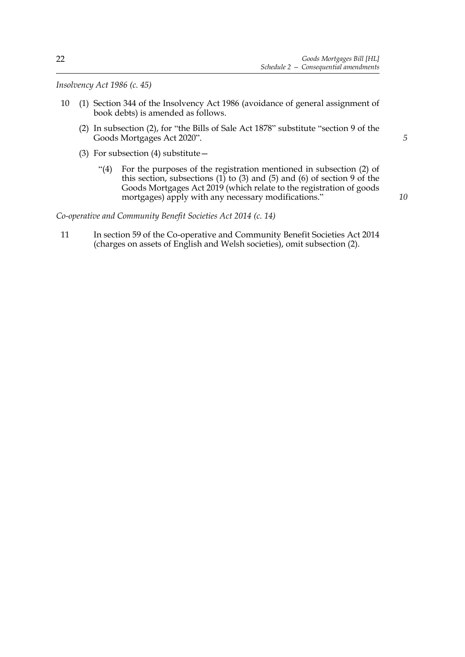*Insolvency Act 1986 (c. 45)*

- 10 (1) Section 344 of the Insolvency Act 1986 (avoidance of general assignment of book debts) is amended as follows.
	- (2) In subsection (2), for "the Bills of Sale Act 1878" substitute "section [9](#page-8-0) of the Goods Mortgages Act 2020".
	- (3) For subsection (4) substitute—
		- "(4) For the purposes of the registration mentioned in subsection (2) of this section, subsections  $(1)$  to  $(3)$  and  $(5)$  and  $(6)$  of section [9](#page-8-0) of the Goods Mortgages Act 2019 (which relate to the registration of goods mortgages) apply with any necessary modifications."

*Co-operative and Community Benefit Societies Act 2014 (c. 14)*

11 In section 59 of the Co-operative and Community Benefit Societies Act 2014 (charges on assets of English and Welsh societies), omit subsection (2).

*10*